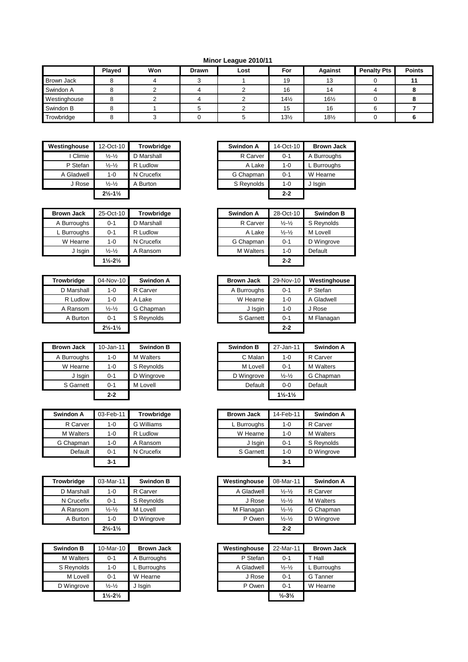## **Minor League 2010/11**

|                   | Played | Won | <b>Drawn</b> | Lost | For             | Against         | <b>Penalty Pts</b> | <b>Points</b> |
|-------------------|--------|-----|--------------|------|-----------------|-----------------|--------------------|---------------|
| <b>Brown Jack</b> |        |     |              |      | 19              | 13              |                    |               |
| Swindon A         |        |     |              |      | 16              | 14              |                    |               |
| Westinghouse      |        |     |              |      | $14\frac{1}{2}$ | $16\frac{1}{2}$ |                    |               |
| Swindon B         |        |     |              |      | 15              | 16              |                    |               |
| Trowbridge        |        |     |              |      | $13\frac{1}{2}$ | $18\frac{1}{2}$ |                    |               |

| Westinghouse | 12-Oct-10                     | Trowbridge | Swindon A  | 14-Oct-10 | <b>Brown Jack</b> |
|--------------|-------------------------------|------------|------------|-----------|-------------------|
| Climie       | $\frac{1}{2} - \frac{1}{2}$   | D Marshall | R Carver   | $0 - 1$   | A Burroughs       |
| P Stefan     | $\frac{1}{2} - \frac{1}{2}$   | R Ludlow   | A Lake     | 1-0       | L Burroughs       |
| A Gladwell   | $1 - 0$                       | N Crucefix | G Chapman  | $0 - 1$   | W Hearne          |
| J Rose       | $\frac{1}{2} - \frac{1}{2}$   | A Burton   | S Reynolds | 1-0       | J Isgin           |
|              | $2\frac{1}{2} - 1\frac{1}{2}$ |            |            | $2 - 2$   |                   |

| <b>Brown Jack</b> | 25-Oct-10                     | <b>Trowbridge</b> | Swindon A        | 28-Oct-10                   | Swindon    |
|-------------------|-------------------------------|-------------------|------------------|-----------------------------|------------|
| A Burroughs       | $0 - 1$                       | D Marshall        | R Carver         | $\frac{1}{2} - \frac{1}{2}$ | S Reynolds |
| L Burroughs       | $0 - 1$                       | R Ludlow          | A Lake           | $\frac{1}{2} - \frac{1}{2}$ | M Lovell   |
| W Hearne          | 1-0                           | N Crucefix        | G Chapman        | $0 - 1$                     | D Wingrove |
| J Isgin           | $\frac{1}{2} - \frac{1}{2}$   | A Ransom          | <b>M</b> Walters | $1 - 0$                     | Default    |
|                   | $1\frac{1}{2} - 2\frac{1}{2}$ |                   |                  | $2 - 2$                     |            |

| Trowbridge | 04-Nov-10                     | Swindon A  |  | <b>Brown Jack</b> | 29-Nov-10 | Westing  |
|------------|-------------------------------|------------|--|-------------------|-----------|----------|
| D Marshall | $1 - 0$                       | R Carver   |  | A Burroughs       | $0 - 1$   | P Stefan |
| R Ludlow   | $1 - 0$                       | A Lake     |  | W Hearne          | $1 - 0$   | A Gladw  |
| A Ransom   | $\frac{1}{2} - \frac{1}{2}$   | G Chapman  |  | J Isgin           | $1 - 0$   | J Rose   |
| A Burton   | $0 - 1$                       | S Reynolds |  | S Garnett         | $0 - 1$   | M Flana  |
|            | $2\frac{1}{2} - 1\frac{1}{2}$ |            |  |                   | $2 - 2$   |          |

| <b>Brown Jack</b> | 10-Jan-11 | <b>Swindon B</b> | <b>Swindon B</b> | 27-Jan-11                     | Swind    |
|-------------------|-----------|------------------|------------------|-------------------------------|----------|
| A Burroughs       | 1-0       | <b>M</b> Walters | C Malan          | $1 - 0$                       | R Carver |
| W Hearne          | 1-0       | S Reynolds       | M Lovell         | $0 - 1$                       | M Walter |
| J Isgin           | $0 - 1$   | D Wingrove       | D Wingrove       | $\frac{1}{2} - \frac{1}{2}$   | G Chapn  |
| S Garnett         | $0 - 1$   | M Lovell         | Default          | $0-0$                         | Default  |
|                   | $2 - 2$   |                  |                  | $1\frac{1}{2} - 1\frac{1}{2}$ |          |

| <b>Swindon A</b> | 03-Feb-11 | <b>Trowbridge</b> |
|------------------|-----------|-------------------|
| R Carver         | $1 - 0$   | <b>G</b> Williams |
| <b>M</b> Walters | $1 - 0$   | R Ludlow          |
| G Chapman        | $1 - 0$   | A Ransom          |
| Default          | $0 - 1$   | N Crucefix        |
|                  | 3-1       |                   |

| <b>Trowbridge</b> | 03-Mar-11                     | <b>Swindon B</b> | Westinghouse | 08-Mar-11                   | Swind    |
|-------------------|-------------------------------|------------------|--------------|-----------------------------|----------|
| D Marshall        | $1 - 0$                       | R Carver         | A Gladwell   | $\frac{1}{2} - \frac{1}{2}$ | R Carver |
| N Crucefix        | $0 - 1$                       | S Reynolds       | J Rose       | $\frac{1}{2} - \frac{1}{2}$ | M Walter |
| A Ransom          | $\frac{1}{2} - \frac{1}{2}$   | M Lovell         | M Flanagan   | $\frac{1}{2} - \frac{1}{2}$ | G Chapn  |
| A Burton          | $1 - 0$                       | D Wingrove       | P Owen       | $\frac{1}{2} - \frac{1}{2}$ | D Wingro |
|                   | $2\frac{1}{2} - 1\frac{1}{2}$ |                  |              | $2 - 2$                     |          |

| <b>Swindon B</b> | 10-Mar-10                     | <b>Brown Jack</b> |  | Westinghouse | 22-Mar-11                    | Brown,    |
|------------------|-------------------------------|-------------------|--|--------------|------------------------------|-----------|
| <b>M</b> Walters | $0 - 1$                       | A Burroughs       |  | P Stefan     | $0 - 1$                      | T Hall    |
| S Reynolds       | 1-0                           | L Burroughs       |  | A Gladwell   | $\frac{1}{2} - \frac{1}{2}$  | L Burroug |
| M Lovell         | $0 - 1$                       | W Hearne          |  | J Rose       | $0 - 1$                      | G Tanner  |
| D Wingrove       | $\frac{1}{2} - \frac{1}{2}$   | J Isgin           |  | P Owen       | $0 - 1$                      | W Hearne  |
|                  | $1\frac{1}{2} - 2\frac{1}{2}$ |                   |  |              | $\frac{1}{2} - 3\frac{1}{2}$ |           |

| <b>nghouse</b> | 12-Oct-10                     | <b>Trowbridge</b> | Swindon A  | 14-Oct-10 | <b>Brown Jack</b> |
|----------------|-------------------------------|-------------------|------------|-----------|-------------------|
| I Climie       | $\frac{1}{2} - \frac{1}{2}$   | D Marshall        | R Carver   | $0 - 1$   | A Burroughs       |
| P Stefan       | $\frac{1}{2} - \frac{1}{2}$   | R Ludlow          | A Lake     | $1 - 0$   | L Burroughs       |
| Gladwell       | 1-0                           | N Crucefix        | G Chapman  | $0 - 1$   | W Hearne          |
| J Rose         | $\frac{1}{2} - \frac{1}{2}$   | . Burton          | S Reynolds | $1 - 0$   | J Isgin           |
|                | $2\frac{1}{2} - 1\frac{1}{2}$ |                   |            | $2 - 2$   |                   |

| <b>Brown Jack</b> | 25-Oct-10                     | <b>Trowbridge</b> |
|-------------------|-------------------------------|-------------------|
| A Burroughs       | $0 - 1$                       | D Marshall        |
| L Burroughs       | $0 - 1$                       | R Ludlow          |
| W Hearne          | $1 - 0$                       | N Crucefix        |
| J Isgin           | $\frac{1}{2} - \frac{1}{2}$   | A Ransom          |
|                   | $1\frac{1}{2} - 2\frac{1}{2}$ |                   |

| Trowbridge | 04-Nov-10                     | Swindon A  | <b>Brown Jack</b> | 29-Nov-10 | Westinghouse |
|------------|-------------------------------|------------|-------------------|-----------|--------------|
| D Marshall | $1 - 0$                       | R Carver   | A Burroughs       | $0 - 1$   | P Stefan     |
| R Ludlow   | $1 - 0$                       | A Lake     | W Hearne          | $1 - 0$   | A Gladwell   |
| A Ransom   | $\frac{1}{2} - \frac{1}{2}$   | G Chapman  | J Isgin           | $1 - 0$   | J Rose       |
| A Burton   | $0 - 1$                       | S Reynolds | S Garnett         | $0 - 1$   | M Flanagan   |
|            | $2\frac{1}{2} - 1\frac{1}{2}$ |            |                   | $2 - 2$   |              |

| <b>Brown Jack</b> | 10-Jan-11 | <b>Swindon B</b> | <b>Swindon B</b> | 27-Jan-11                     | Swindon A        |
|-------------------|-----------|------------------|------------------|-------------------------------|------------------|
| A Burroughs       | $1 - 0$   | <b>M</b> Walters | C Malan          | $1 - 0$                       | R Carver         |
| W Hearne          | $1 - 0$   | S Reynolds       | M Lovell         | $0 - 1$                       | <b>M</b> Walters |
| J Isgin           | $0 - 1$   | D Wingrove       | D Wingrove       | $\frac{1}{2} - \frac{1}{2}$   | G Chapman        |
| S Garnett         | $0 - 1$   | M Lovell         | Default          | $0-0$                         | Default          |
|                   | $2 - 2$   |                  |                  | $1\frac{1}{2} - 1\frac{1}{2}$ |                  |

| Swindon A        | 03-Feb-11 | Trowbridge | <b>Brown Jack</b> | 14-Feb-11 | Swindon A        |
|------------------|-----------|------------|-------------------|-----------|------------------|
| R Carver         | $1 - 0$   | G Williams | L Burroughs       | $1 - 0$   | R Carver         |
| <b>M</b> Walters | $1 - 0$   | R Ludlow   | W Hearne          | $1 - 0$   | <b>M</b> Walters |
| G Chapman        | 1-0       | A Ransom   | J Isgin           | $0 - 1$   | S Reynolds       |
| Default          | $0 - 1$   | N Crucefix | S Garnett         | $1 - 0$   | D Wingrove       |
|                  | $3-1$     |            |                   | $3 - 1$   |                  |

| Trowbridge | 03-Mar-11                     | <b>Swindon B</b> | Westinghouse | 08-Mar-11                   | Swindon A        |
|------------|-------------------------------|------------------|--------------|-----------------------------|------------------|
| D Marshall | $1 - 0$                       | R Carver         | A Gladwell   | $\frac{1}{2} - \frac{1}{2}$ | R Carver         |
| N Crucefix | $0 - 1$                       | S Reynolds       | J Rose       | $\frac{1}{2} - \frac{1}{2}$ | <b>M</b> Walters |
| A Ransom   | $\frac{1}{2} - \frac{1}{2}$   | M Lovell         | M Flanagan   | $\frac{1}{2} - \frac{1}{2}$ | G Chapman        |
| A Burton   | $1 - 0$                       | D Wingrove       | P Owen       | $\frac{1}{2} - \frac{1}{2}$ | D Wingrove       |
|            | $2\frac{1}{2} - 1\frac{1}{2}$ |                  |              | $2 - 2$                     |                  |

| Swindon B        | 10-Mar-10                     | <b>Brown Jack</b> | Westinghouse | 22-Mar-11                    | <b>Brown Jack</b> |
|------------------|-------------------------------|-------------------|--------------|------------------------------|-------------------|
| <b>M</b> Walters | $0 - 1$                       | A Burroughs       | P Stefan     | $0 - 1$                      | T Hall            |
| S Reynolds       | $1 - 0$                       | L Burroughs       | A Gladwell   | $\frac{1}{2} - \frac{1}{2}$  | L Burroughs       |
| M Lovell         | $0 - 1$                       | W Hearne          | J Rose       | $0 - 1$                      | G Tanner          |
| D Wingrove       | $\frac{1}{2} - \frac{1}{2}$   | J Isgin           | P Owen       | $0 - 1$                      | W Hearne          |
|                  | $1\frac{1}{2} - 2\frac{1}{2}$ |                   |              | $\frac{1}{2} - 3\frac{1}{2}$ |                   |